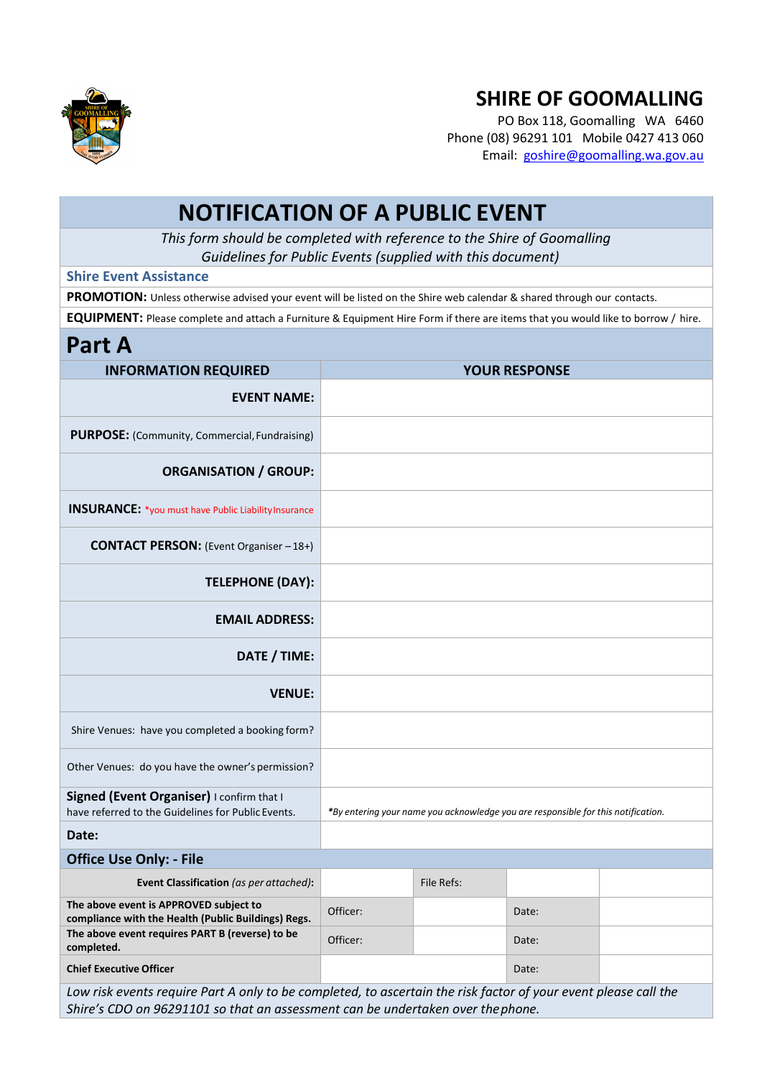

## **SHIRE OF GOOMALLING**

PO Box 118, Goomalling WA 6460 Phone (08) 96291 101 Mobile 0427 413 060 Email: [goshire@goomalling.wa.gov.au](mailto:goshire@goomalling.wa.gov.au)

## **NOTIFICATION OF A PUBLIC EVENT**

*This form should be completed with reference to the Shire of Goomalling Guidelines for Public Events (supplied with this document)*

## **Shire Event Assistance**

**PROMOTION:** Unless otherwise advised your event will be listed on the Shire web calendar & shared through our contacts.

**EQUIPMENT:** Please complete and attach a Furniture & Equipment Hire Form if there are items that you would like to borrow / hire.

## **Part A**

| <b>INFORMATION REQUIRED</b>                                                                                                                                                                        | <b>YOUR RESPONSE</b> |            |                                                                                   |  |  |  |  |
|----------------------------------------------------------------------------------------------------------------------------------------------------------------------------------------------------|----------------------|------------|-----------------------------------------------------------------------------------|--|--|--|--|
| <b>EVENT NAME:</b>                                                                                                                                                                                 |                      |            |                                                                                   |  |  |  |  |
| PURPOSE: (Community, Commercial, Fundraising)                                                                                                                                                      |                      |            |                                                                                   |  |  |  |  |
| <b>ORGANISATION / GROUP:</b>                                                                                                                                                                       |                      |            |                                                                                   |  |  |  |  |
| <b>INSURANCE:</b> *you must have Public Liability Insurance                                                                                                                                        |                      |            |                                                                                   |  |  |  |  |
| <b>CONTACT PERSON:</b> (Event Organiser - 18+)                                                                                                                                                     |                      |            |                                                                                   |  |  |  |  |
| <b>TELEPHONE (DAY):</b>                                                                                                                                                                            |                      |            |                                                                                   |  |  |  |  |
| <b>EMAIL ADDRESS:</b>                                                                                                                                                                              |                      |            |                                                                                   |  |  |  |  |
| DATE / TIME:                                                                                                                                                                                       |                      |            |                                                                                   |  |  |  |  |
| <b>VENUE:</b>                                                                                                                                                                                      |                      |            |                                                                                   |  |  |  |  |
| Shire Venues: have you completed a booking form?                                                                                                                                                   |                      |            |                                                                                   |  |  |  |  |
| Other Venues: do you have the owner's permission?                                                                                                                                                  |                      |            |                                                                                   |  |  |  |  |
| Signed (Event Organiser) I confirm that I<br>have referred to the Guidelines for Public Events.                                                                                                    |                      |            | *By entering your name you acknowledge you are responsible for this notification. |  |  |  |  |
| Date:                                                                                                                                                                                              |                      |            |                                                                                   |  |  |  |  |
| <b>Office Use Only: - File</b>                                                                                                                                                                     |                      |            |                                                                                   |  |  |  |  |
| Event Classification (as per attached):                                                                                                                                                            |                      | File Refs: |                                                                                   |  |  |  |  |
| The above event is APPROVED subject to<br>compliance with the Health (Public Buildings) Regs.                                                                                                      | Officer:             |            | Date:                                                                             |  |  |  |  |
| The above event requires PART B (reverse) to be<br>completed.                                                                                                                                      | Officer:             |            | Date:                                                                             |  |  |  |  |
| <b>Chief Executive Officer</b>                                                                                                                                                                     |                      |            | Date:                                                                             |  |  |  |  |
| Low risk events require Part A only to be completed, to ascertain the risk factor of your event please call the<br>Shire's CDO on 96291101 so that an assessment can be undertaken over the phone. |                      |            |                                                                                   |  |  |  |  |